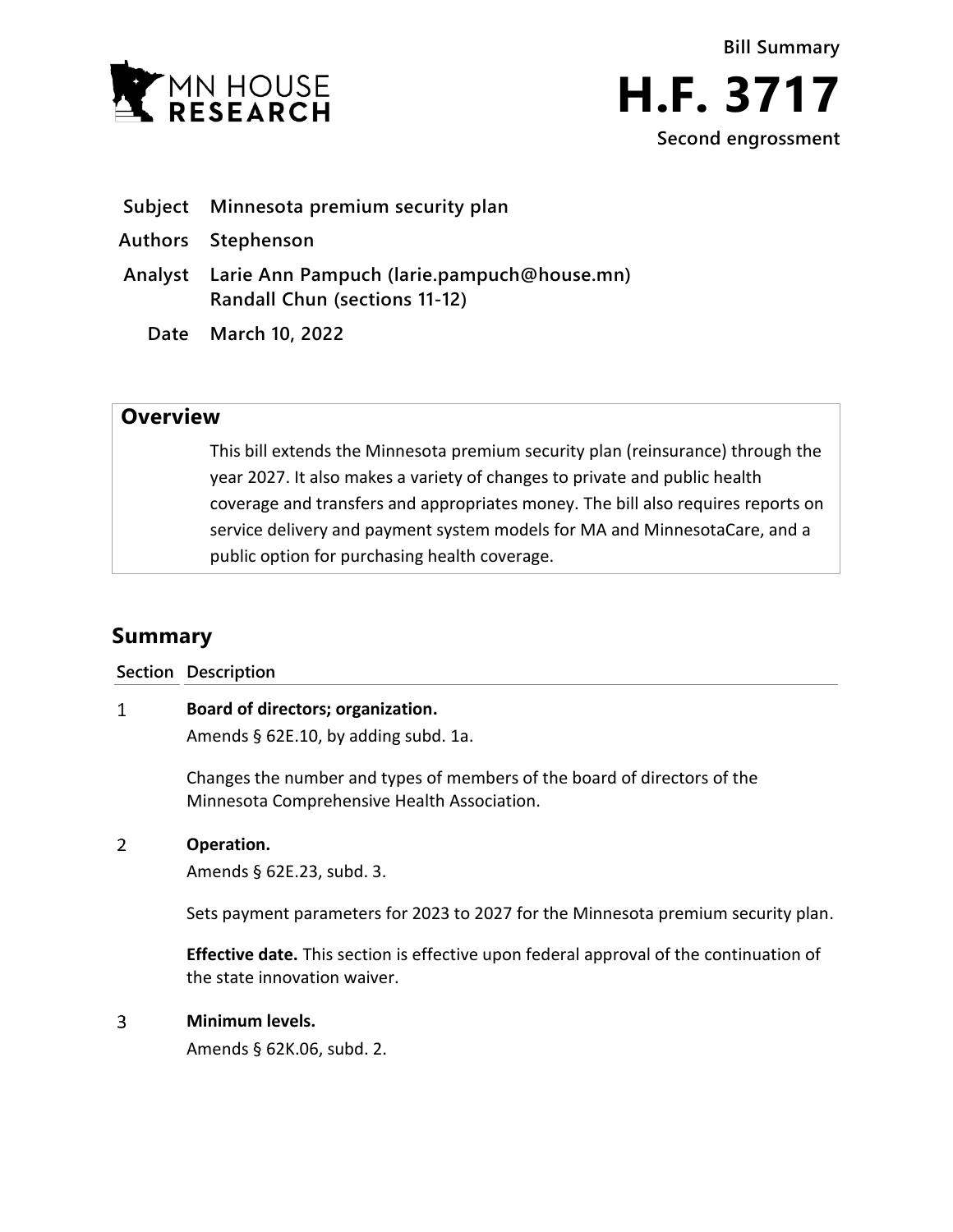



- **Subject Minnesota premium security plan**
- **Authors Stephenson**
- **Analyst Larie Ann Pampuch (larie.pampuch@house.mn) Randall Chun (sections 11-12)**
	- **Date March 10, 2022**

## **Overview**

This bill extends the Minnesota premium security plan (reinsurance) through the year 2027. It also makes a variety of changes to private and public health coverage and transfers and appropriates money. The bill also requires reports on service delivery and payment system models for MA and MinnesotaCare, and a public option for purchasing health coverage.

# **Summary**

**Section Description**

#### $\mathbf{1}$ **Board of directors; organization.**

Amends § 62E.10, by adding subd. 1a.

Changes the number and types of members of the board of directors of the Minnesota Comprehensive Health Association.

#### $\overline{2}$ **Operation.**

Amends § 62E.23, subd. 3.

Sets payment parameters for 2023 to 2027 for the Minnesota premium security plan.

**Effective date.** This section is effective upon federal approval of the continuation of the state innovation waiver.

#### $\overline{3}$ **Minimum levels.**

Amends § 62K.06, subd. 2.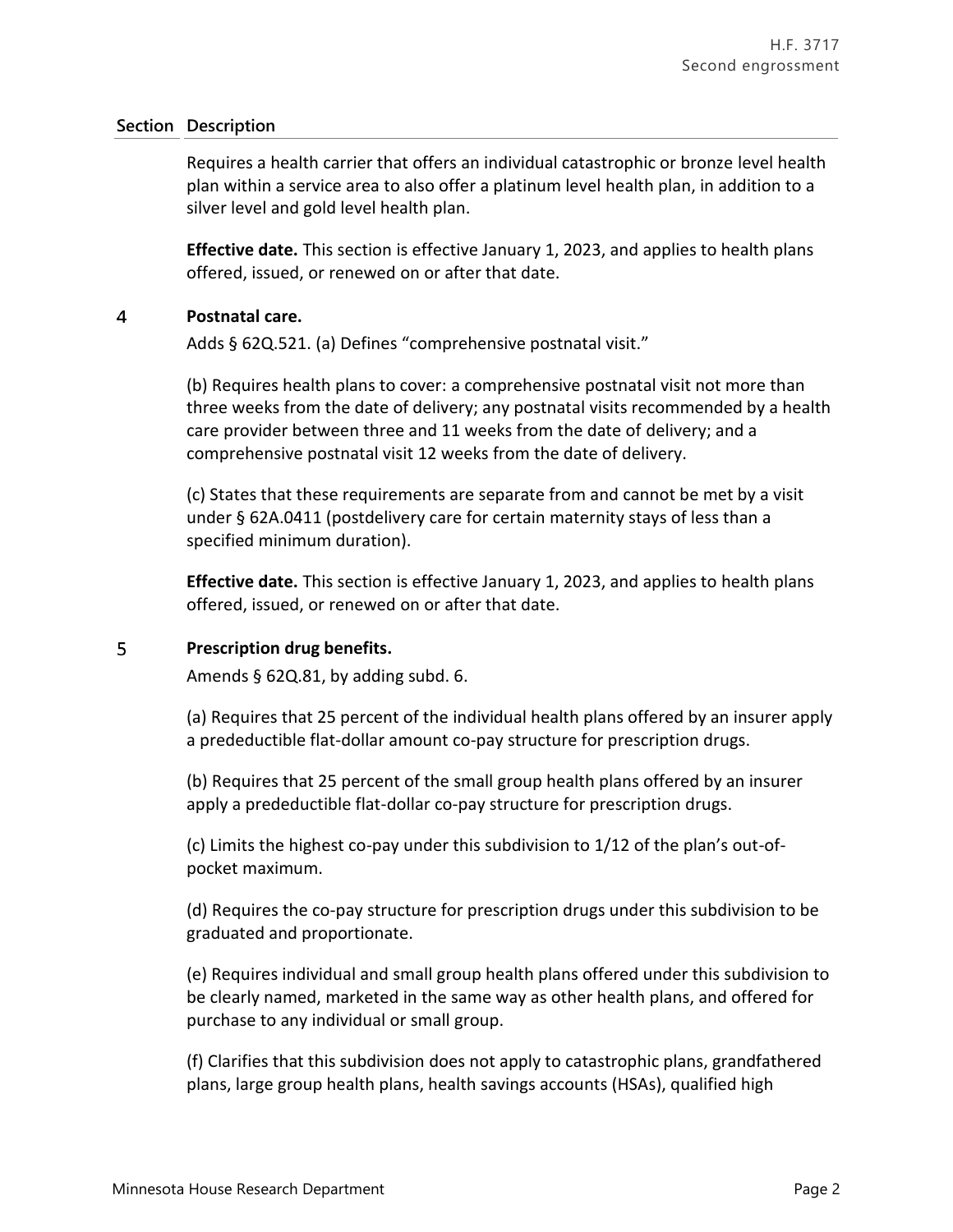Requires a health carrier that offers an individual catastrophic or bronze level health plan within a service area to also offer a platinum level health plan, in addition to a silver level and gold level health plan.

**Effective date.** This section is effective January 1, 2023, and applies to health plans offered, issued, or renewed on or after that date.

#### $\overline{4}$ **Postnatal care.**

Adds § 62Q.521. (a) Defines "comprehensive postnatal visit."

(b) Requires health plans to cover: a comprehensive postnatal visit not more than three weeks from the date of delivery; any postnatal visits recommended by a health care provider between three and 11 weeks from the date of delivery; and a comprehensive postnatal visit 12 weeks from the date of delivery.

(c) States that these requirements are separate from and cannot be met by a visit under § 62A.0411 (postdelivery care for certain maternity stays of less than a specified minimum duration).

**Effective date.** This section is effective January 1, 2023, and applies to health plans offered, issued, or renewed on or after that date.

#### 5 **Prescription drug benefits.**

Amends § 62Q.81, by adding subd. 6.

(a) Requires that 25 percent of the individual health plans offered by an insurer apply a predeductible flat-dollar amount co-pay structure for prescription drugs.

(b) Requires that 25 percent of the small group health plans offered by an insurer apply a predeductible flat-dollar co-pay structure for prescription drugs.

(c) Limits the highest co-pay under this subdivision to 1/12 of the plan's out-ofpocket maximum.

(d) Requires the co-pay structure for prescription drugs under this subdivision to be graduated and proportionate.

(e) Requires individual and small group health plans offered under this subdivision to be clearly named, marketed in the same way as other health plans, and offered for purchase to any individual or small group.

(f) Clarifies that this subdivision does not apply to catastrophic plans, grandfathered plans, large group health plans, health savings accounts (HSAs), qualified high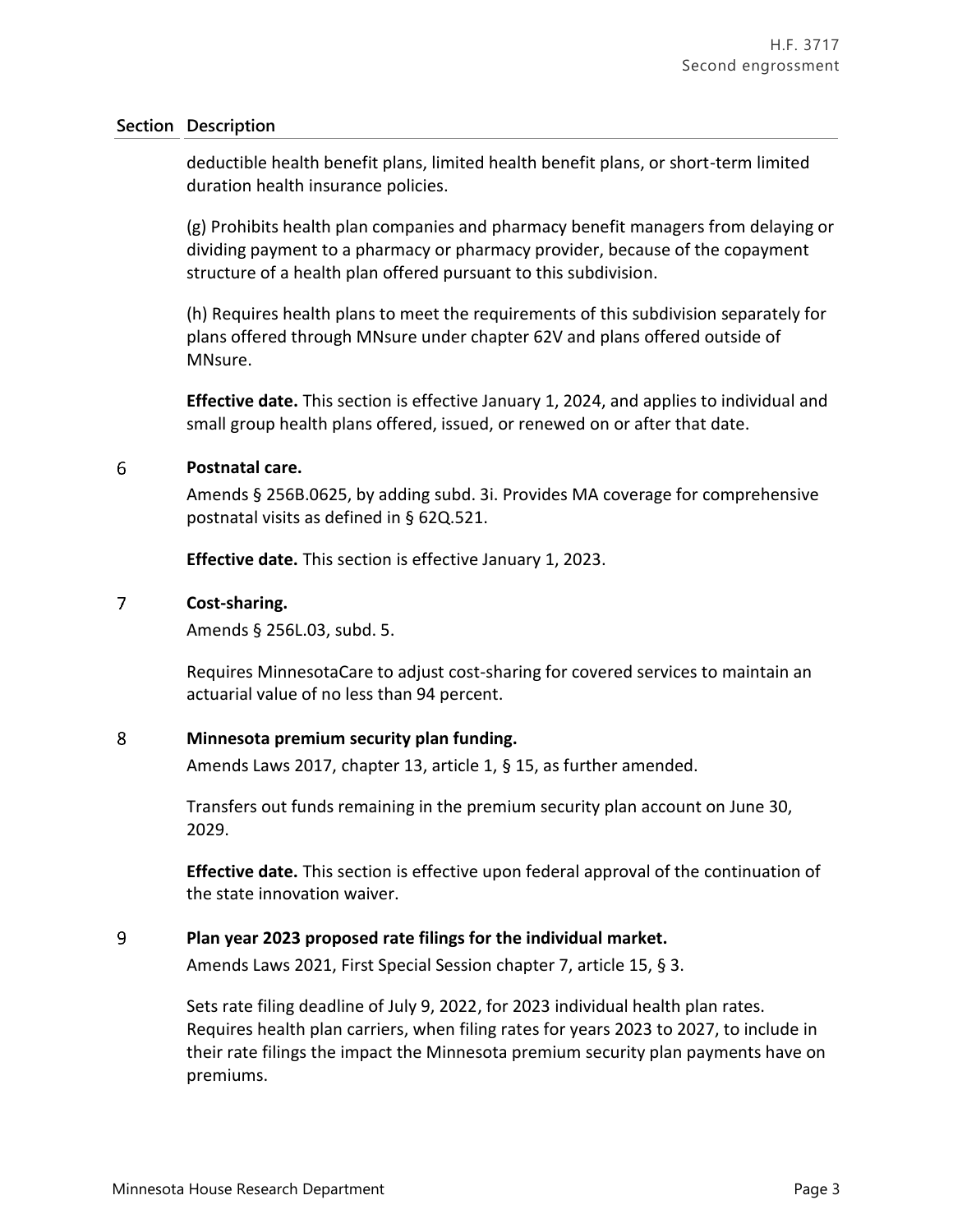deductible health benefit plans, limited health benefit plans, or short-term limited duration health insurance policies.

(g) Prohibits health plan companies and pharmacy benefit managers from delaying or dividing payment to a pharmacy or pharmacy provider, because of the copayment structure of a health plan offered pursuant to this subdivision.

(h) Requires health plans to meet the requirements of this subdivision separately for plans offered through MNsure under chapter 62V and plans offered outside of MNsure.

**Effective date.** This section is effective January 1, 2024, and applies to individual and small group health plans offered, issued, or renewed on or after that date.

#### 6 **Postnatal care.**

Amends § 256B.0625, by adding subd. 3i. Provides MA coverage for comprehensive postnatal visits as defined in § 62Q.521.

**Effective date.** This section is effective January 1, 2023.

#### $\overline{7}$ **Cost-sharing.**

Amends § 256L.03, subd. 5.

Requires MinnesotaCare to adjust cost-sharing for covered services to maintain an actuarial value of no less than 94 percent.

#### 8 **Minnesota premium security plan funding.**

Amends Laws 2017, chapter 13, article 1, § 15, as further amended.

Transfers out funds remaining in the premium security plan account on June 30, 2029.

**Effective date.** This section is effective upon federal approval of the continuation of the state innovation waiver.

#### 9 **Plan year 2023 proposed rate filings for the individual market.**

Amends Laws 2021, First Special Session chapter 7, article 15, § 3.

Sets rate filing deadline of July 9, 2022, for 2023 individual health plan rates. Requires health plan carriers, when filing rates for years 2023 to 2027, to include in their rate filings the impact the Minnesota premium security plan payments have on premiums.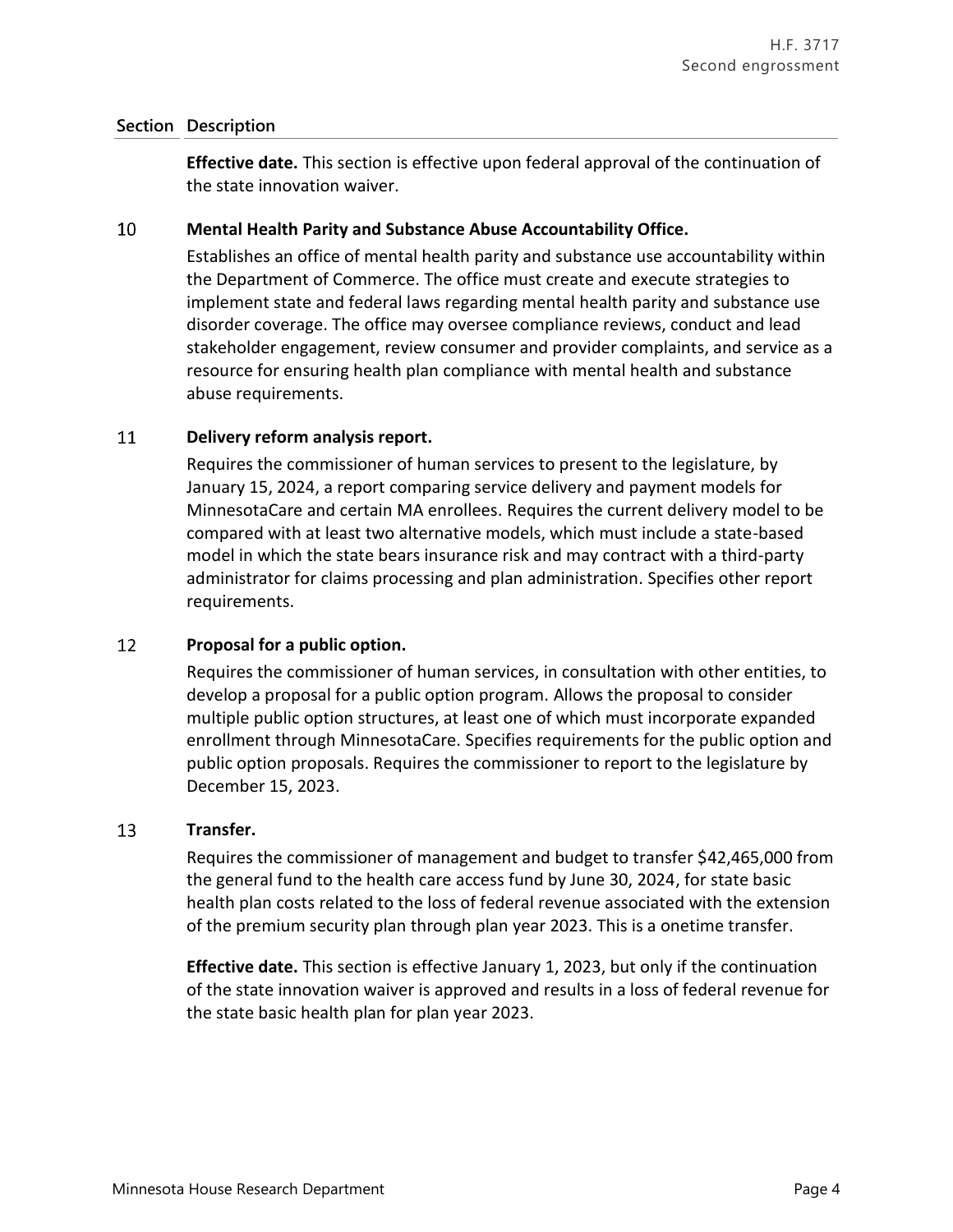**Effective date.** This section is effective upon federal approval of the continuation of the state innovation waiver.

#### 10 **Mental Health Parity and Substance Abuse Accountability Office.**

Establishes an office of mental health parity and substance use accountability within the Department of Commerce. The office must create and execute strategies to implement state and federal laws regarding mental health parity and substance use disorder coverage. The office may oversee compliance reviews, conduct and lead stakeholder engagement, review consumer and provider complaints, and service as a resource for ensuring health plan compliance with mental health and substance abuse requirements.

#### 11 **Delivery reform analysis report.**

Requires the commissioner of human services to present to the legislature, by January 15, 2024, a report comparing service delivery and payment models for MinnesotaCare and certain MA enrollees. Requires the current delivery model to be compared with at least two alternative models, which must include a state-based model in which the state bears insurance risk and may contract with a third-party administrator for claims processing and plan administration. Specifies other report requirements.

#### 12 **Proposal for a public option.**

Requires the commissioner of human services, in consultation with other entities, to develop a proposal for a public option program. Allows the proposal to consider multiple public option structures, at least one of which must incorporate expanded enrollment through MinnesotaCare. Specifies requirements for the public option and public option proposals. Requires the commissioner to report to the legislature by December 15, 2023.

#### 13 **Transfer.**

Requires the commissioner of management and budget to transfer \$42,465,000 from the general fund to the health care access fund by June 30, 2024, for state basic health plan costs related to the loss of federal revenue associated with the extension of the premium security plan through plan year 2023. This is a onetime transfer.

**Effective date.** This section is effective January 1, 2023, but only if the continuation of the state innovation waiver is approved and results in a loss of federal revenue for the state basic health plan for plan year 2023.